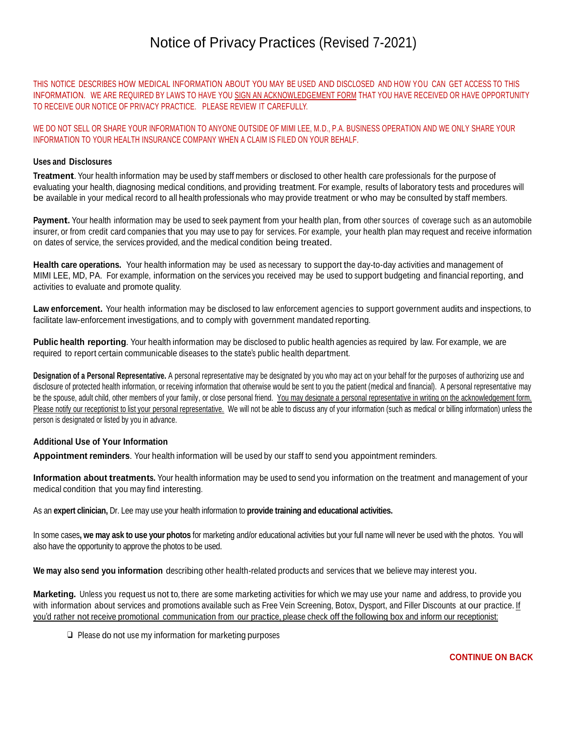# Notice of Privacy Practices (Revised 7-2021)

THIS NOTICE DESCRIBES HOW MEDICAL INFORMATION ABOUT YOU MAY BE USED AND DISCLOSED AND HOW YOU CAN GET ACCESS TO THIS INFORMATION. WE ARE REQUIRED BY LAWS TO HAVE YOU SIGN AN ACKNOWLEDGEMENT FORM THAT YOU HAVE RECEIVED OR HAVE OPPORTUNITY TO RECEIVE OUR NOTICE OF PRIVACY PRACTICE. PLEASE REVIEW IT CAREFULLY.

WE DO NOT SELL OR SHARE YOUR INFORMATION TO ANYONE OUTSIDE OF MIMI LEE, M.D., P.A. BUSINESS OPERATION AND WE ONLY SHARE YOUR INFORMATION TO YOUR HEALTH INSURANCE COMPANY WHEN A CLAIM IS FILED ON YOUR BEHALF.

## **Uses and Disclosures**

**Treatment**. Your health information may be used by staff members or disclosed to other health care professionals for the purpose of evaluating your health, diagnosing medical conditions, and providing treatment. For example, results of laboratory tests and procedures will be available in your medical record to all health professionals who may provide treatment or who may be consulted by staff members.

Payment. Your health information may be used to seek payment from your health plan, from other sources of coverage such as an automobile insurer, or from credit card companies that you may use to pay for services. For example, your health plan may request and receive information on dates of service, the services provided, and the medical condition being treated.

**Health care operations.** Your health information may be used as necessary to support the day-to-day activities and management of MIMI LEE, MD, PA. For example, information on the services you received may be used to support budgeting and financial reporting, and activities to evaluate and promote quality.

**Law enforcement.** Your health information may be disclosed to law enforcement agencies to support government audits and inspections, to facilitate law-enforcement investigations, and to comply with government mandated reporting.

**Public health reporting**. Your health information may be disclosed to public health agencies as required by law. For example, we are required to report certain communicable diseases to the state's public health department.

**Designation of a Personal Representative.** A personal representative may be designated by you who may act on your behalf for the purposes of authorizing use and disclosure of protected health information, or receiving information that otherwise would be sent to you the patient (medical and financial). A personal representative may be the spouse, adult child, other members of your family, or close personal friend. You may designate a personal representative in writing on the acknowledgement form. Please notify our receptionist to list your personal representative. We will not be able to discuss any of your information (such as medical or billing information) unless the person is designated or listed by you in advance.

## **Additional Use of Your Information**

**Appointment reminders**. Your health information will be used by our staff to send you appointment reminders.

**Information about treatments.** Your health information may be used to send you information on the treatment and management of your medical condition that you may find interesting.

As an **expert clinician,** Dr. Lee may use your health information to **provide training and educational activities.**

In some cases**, we may ask to use your photos** for marketing and/or educational activities but your full name will never be used with the photos. You will also have the opportunity to approve the photos to be used.

**We may also send you information** describing other health-related products and services that we believe may interest you.

**Marketing.** Unless you request us not to, there are some marketing activities for which we may use your name and address, to provide you with information about services and promotions available such as Free Vein Screening, Botox, Dysport, and Filler Discounts at our practice. If you'd rather not receive promotional communication from our practice, please check off the following box and inform our receptionist:

❑ Please do not use my information for marketing purposes